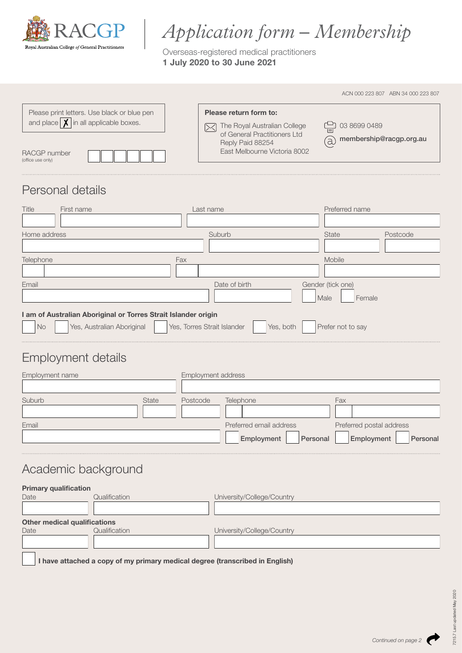

# *Application form – Membership*

Overseas-registered medical practitioners 1 July 2020 to 30 June 2021

|                                                                                                           |                                                                                                                         | ACN 000 223 807 ABN 34 000 223 807                 |
|-----------------------------------------------------------------------------------------------------------|-------------------------------------------------------------------------------------------------------------------------|----------------------------------------------------|
| Please print letters. Use black or blue pen<br>and place $\vert \bm{\chi} \vert$ in all applicable boxes. | Please return form to:<br>The Royal Australian College<br>$\bowtie$<br>of General Practitioners Ltd<br>Reply Paid 88254 | 03 8699 0489<br>membership@racgp.org.au<br>(a)     |
| RACGP number<br>(office use only)                                                                         | East Melbourne Victoria 8002                                                                                            |                                                    |
| Personal details                                                                                          |                                                                                                                         |                                                    |
| Title<br>First name                                                                                       | Last name                                                                                                               | Preferred name                                     |
| Home address                                                                                              | Suburb                                                                                                                  | <b>State</b><br>Postcode                           |
| Telephone<br>Fax                                                                                          |                                                                                                                         | Mobile                                             |
| Email                                                                                                     | Date of birth                                                                                                           | Gender (tick one)<br>Male<br>Female                |
| I am of Australian Aboriginal or Torres Strait Islander origin<br>Yes, Australian Aboriginal<br>No.       | Yes, Torres Strait Islander<br>Yes, both                                                                                | Prefer not to say                                  |
| Employment details                                                                                        |                                                                                                                         |                                                    |
| Employment name                                                                                           | Employment address                                                                                                      |                                                    |
| Suburb<br>State<br>Postcode                                                                               | Telephone                                                                                                               | Fax                                                |
| Email                                                                                                     | Preferred email address<br>Employment<br>Personal                                                                       | Preferred postal address<br>Employment<br>Personal |
| Academic background                                                                                       |                                                                                                                         |                                                    |
| <b>Primary qualification</b><br>Qualification<br>Date                                                     | University/College/Country                                                                                              |                                                    |
| <b>Other medical qualifications</b><br>Qualification<br>Date                                              | University/College/Country                                                                                              |                                                    |
|                                                                                                           |                                                                                                                         |                                                    |
| I have attached a copy of my primary medical degree (transcribed in English)                              |                                                                                                                         |                                                    |